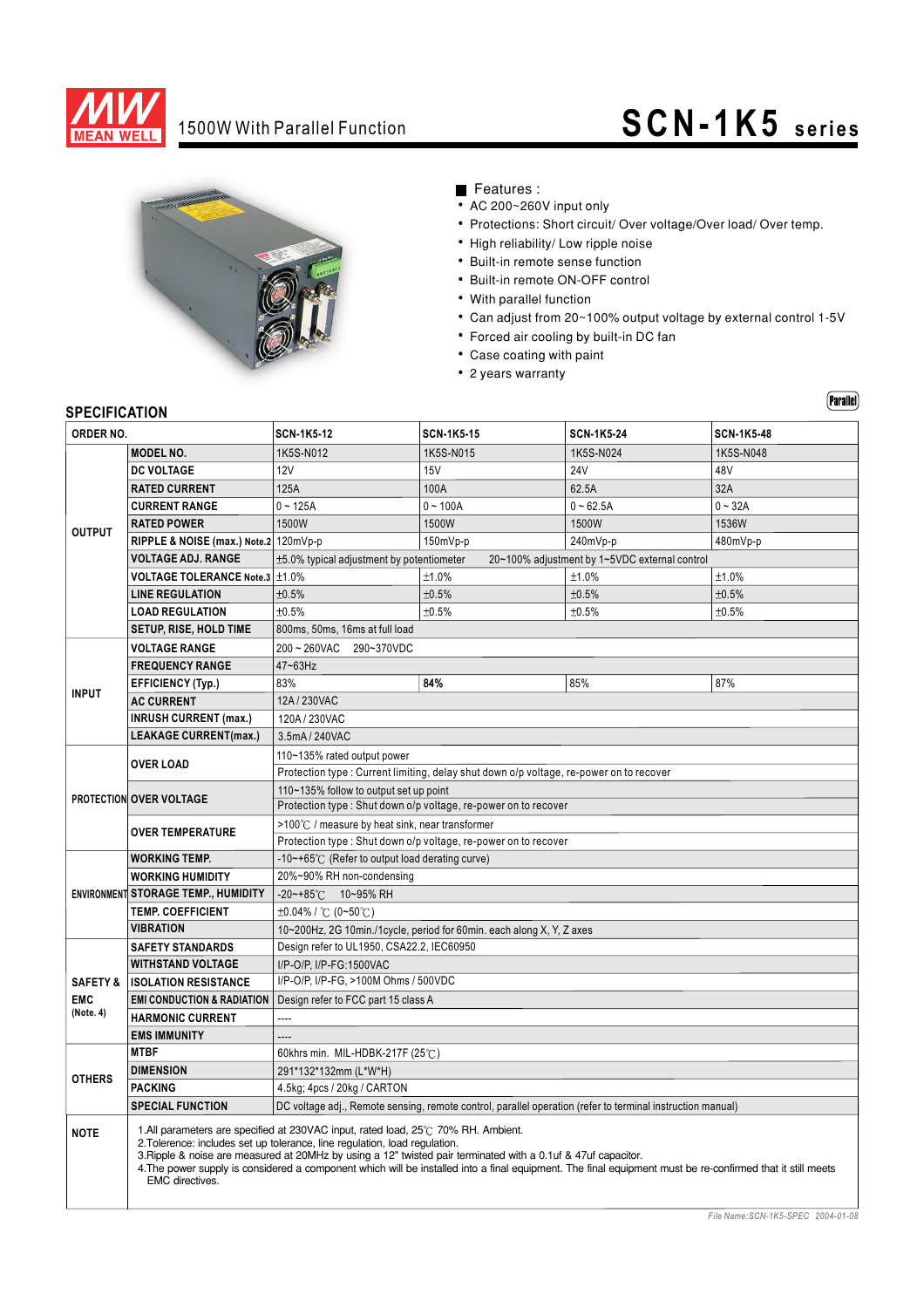

# 1500W With Parallel Function **SCN-1K5** series



Features :

- AC 200~260V input only
- Protections: Short circuit/ Over voltage/Over load/ Over temp.
- High reliability/ Low ripple noise
- Built-in remote sense function
- Built-in remote ON-OFF control
- With parallel function
- Can adjust from 20~100% output voltage by external control 1-5V
- Forced air cooling by built-in DC fan
- Case coating with paint
- 2 years warranty

### $(Parallel)$

### **SPECIFICATION**

| <b>SPECIFICALIUN</b>    |                                                                                                                                                                                                                                                                                                                                                                                                                                                                   |                                                                                                            |                   |                   |                   |
|-------------------------|-------------------------------------------------------------------------------------------------------------------------------------------------------------------------------------------------------------------------------------------------------------------------------------------------------------------------------------------------------------------------------------------------------------------------------------------------------------------|------------------------------------------------------------------------------------------------------------|-------------------|-------------------|-------------------|
| ORDER NO.               |                                                                                                                                                                                                                                                                                                                                                                                                                                                                   | <b>SCN-1K5-12</b>                                                                                          | <b>SCN-1K5-15</b> | <b>SCN-1K5-24</b> | <b>SCN-1K5-48</b> |
| <b>OUTPUT</b>           | <b>MODEL NO.</b>                                                                                                                                                                                                                                                                                                                                                                                                                                                  | 1K5S-N012                                                                                                  | 1K5S-N015         | 1K5S-N024         | 1K5S-N048         |
|                         | <b>DC VOLTAGE</b>                                                                                                                                                                                                                                                                                                                                                                                                                                                 | <b>12V</b>                                                                                                 | <b>15V</b>        | <b>24V</b>        | 48V               |
|                         | <b>RATED CURRENT</b>                                                                                                                                                                                                                                                                                                                                                                                                                                              | 125A                                                                                                       | 100A              | 62.5A             | 32A               |
|                         | <b>CURRENT RANGE</b>                                                                                                                                                                                                                                                                                                                                                                                                                                              | $0 - 125A$                                                                                                 | $0 - 100A$        | $0 - 62.5A$       | $0 - 32A$         |
|                         | <b>RATED POWER</b>                                                                                                                                                                                                                                                                                                                                                                                                                                                | 1500W                                                                                                      | 1500W             | 1500W             | 1536W             |
|                         | RIPPLE & NOISE (max.) Note.2 120mVp-p                                                                                                                                                                                                                                                                                                                                                                                                                             |                                                                                                            | 150mVp-p          | 240mVp-p          | 480mVp-p          |
|                         | <b>VOLTAGE ADJ. RANGE</b>                                                                                                                                                                                                                                                                                                                                                                                                                                         | ±5.0% typical adjustment by potentiometer<br>20~100% adjustment by 1~5VDC external control                 |                   |                   |                   |
|                         | VOLTAGE TOLERANCE Note.3 ±1.0%                                                                                                                                                                                                                                                                                                                                                                                                                                    |                                                                                                            | ±1.0%             | ±1.0%             | ±1.0%             |
|                         | <b>LINE REGULATION</b>                                                                                                                                                                                                                                                                                                                                                                                                                                            | ±0.5%                                                                                                      | ±0.5%             | ±0.5%             | ±0.5%             |
|                         | <b>LOAD REGULATION</b>                                                                                                                                                                                                                                                                                                                                                                                                                                            | ±0.5%                                                                                                      | ±0.5%             | ±0.5%             | ±0.5%             |
|                         | <b>SETUP, RISE, HOLD TIME</b>                                                                                                                                                                                                                                                                                                                                                                                                                                     | 800ms, 50ms, 16ms at full load                                                                             |                   |                   |                   |
|                         | <b>VOLTAGE RANGE</b>                                                                                                                                                                                                                                                                                                                                                                                                                                              | 200~260VAC<br>290~370VDC                                                                                   |                   |                   |                   |
| <b>INPUT</b>            | <b>FREQUENCY RANGE</b>                                                                                                                                                                                                                                                                                                                                                                                                                                            | 47~63Hz                                                                                                    |                   |                   |                   |
|                         | <b>EFFICIENCY (Typ.)</b>                                                                                                                                                                                                                                                                                                                                                                                                                                          | 83%                                                                                                        | 84%               | 85%               | 87%               |
|                         | <b>AC CURRENT</b>                                                                                                                                                                                                                                                                                                                                                                                                                                                 | 12A / 230VAC                                                                                               |                   |                   |                   |
|                         | <b>INRUSH CURRENT (max.)</b>                                                                                                                                                                                                                                                                                                                                                                                                                                      | 120A/230VAC                                                                                                |                   |                   |                   |
|                         | <b>LEAKAGE CURRENT(max.)</b>                                                                                                                                                                                                                                                                                                                                                                                                                                      | 3.5mA / 240VAC                                                                                             |                   |                   |                   |
| PROTECTION OVER VOLTAGE |                                                                                                                                                                                                                                                                                                                                                                                                                                                                   | 110~135% rated output power                                                                                |                   |                   |                   |
|                         | <b>OVER LOAD</b>                                                                                                                                                                                                                                                                                                                                                                                                                                                  | Protection type: Current limiting, delay shut down o/p voltage, re-power on to recover                     |                   |                   |                   |
|                         |                                                                                                                                                                                                                                                                                                                                                                                                                                                                   | 110~135% follow to output set up point                                                                     |                   |                   |                   |
|                         |                                                                                                                                                                                                                                                                                                                                                                                                                                                                   | Protection type : Shut down o/p voltage, re-power on to recover                                            |                   |                   |                   |
|                         | <b>OVER TEMPERATURE</b>                                                                                                                                                                                                                                                                                                                                                                                                                                           | $>100^{\circ}$ / measure by heat sink, near transformer                                                    |                   |                   |                   |
|                         |                                                                                                                                                                                                                                                                                                                                                                                                                                                                   | Protection type: Shut down o/p voltage, re-power on to recover                                             |                   |                   |                   |
|                         | <b>WORKING TEMP.</b>                                                                                                                                                                                                                                                                                                                                                                                                                                              | -10~+65℃ (Refer to output load derating curve)                                                             |                   |                   |                   |
|                         | <b>WORKING HUMIDITY</b>                                                                                                                                                                                                                                                                                                                                                                                                                                           | 20%~90% RH non-condensing                                                                                  |                   |                   |                   |
|                         | ENVIRONMENT STORAGE TEMP., HUMIDITY                                                                                                                                                                                                                                                                                                                                                                                                                               | $-20$ ~+85°C 10~95% RH                                                                                     |                   |                   |                   |
|                         | <b>TEMP. COEFFICIENT</b>                                                                                                                                                                                                                                                                                                                                                                                                                                          | $\pm 0.04\%$ / °C (0~50°C)                                                                                 |                   |                   |                   |
|                         | <b>VIBRATION</b>                                                                                                                                                                                                                                                                                                                                                                                                                                                  | 10~200Hz, 2G 10min./1cycle, period for 60min. each along X, Y, Z axes                                      |                   |                   |                   |
|                         | <b>SAFETY STANDARDS</b>                                                                                                                                                                                                                                                                                                                                                                                                                                           | Design refer to UL1950, CSA22.2, IEC60950                                                                  |                   |                   |                   |
|                         | <b>WITHSTAND VOLTAGE</b>                                                                                                                                                                                                                                                                                                                                                                                                                                          | I/P-O/P, I/P-FG:1500VAC                                                                                    |                   |                   |                   |
| <b>SAFETY &amp;</b>     | <b>ISOLATION RESISTANCE</b>                                                                                                                                                                                                                                                                                                                                                                                                                                       | I/P-O/P, I/P-FG, >100M Ohms / 500VDC                                                                       |                   |                   |                   |
| <b>EMC</b><br>(Note. 4) | <b>EMI CONDUCTION &amp; RADIATION</b>                                                                                                                                                                                                                                                                                                                                                                                                                             | Design refer to FCC part 15 class A                                                                        |                   |                   |                   |
|                         | <b>HARMONIC CURRENT</b>                                                                                                                                                                                                                                                                                                                                                                                                                                           |                                                                                                            |                   |                   |                   |
|                         | <b>EMS IMMUNITY</b>                                                                                                                                                                                                                                                                                                                                                                                                                                               | $\overline{a}$                                                                                             |                   |                   |                   |
| <b>OTHERS</b>           | <b>MTBF</b>                                                                                                                                                                                                                                                                                                                                                                                                                                                       | 60khrs min. MIL-HDBK-217F (25℃)                                                                            |                   |                   |                   |
|                         | <b>DIMENSION</b>                                                                                                                                                                                                                                                                                                                                                                                                                                                  | 291*132*132mm (L*W*H)                                                                                      |                   |                   |                   |
|                         | <b>PACKING</b>                                                                                                                                                                                                                                                                                                                                                                                                                                                    | 4.5kg; 4pcs / 20kg / CARTON                                                                                |                   |                   |                   |
|                         | <b>SPECIAL FUNCTION</b>                                                                                                                                                                                                                                                                                                                                                                                                                                           | DC voltage adj., Remote sensing, remote control, parallel operation (refer to terminal instruction manual) |                   |                   |                   |
| <b>NOTE</b>             | 1.All parameters are specified at 230VAC input, rated load, 25°C 70% RH. Ambient.<br>2. Tolerence: includes set up tolerance, line regulation, load regulation.<br>3. Ripple & noise are measured at 20MHz by using a 12" twisted pair terminated with a 0.1uf & 47uf capacitor.<br>4. The power supply is considered a component which will be installed into a final equipment. The final equipment must be re-confirmed that it still meets<br>EMC directives. |                                                                                                            |                   |                   |                   |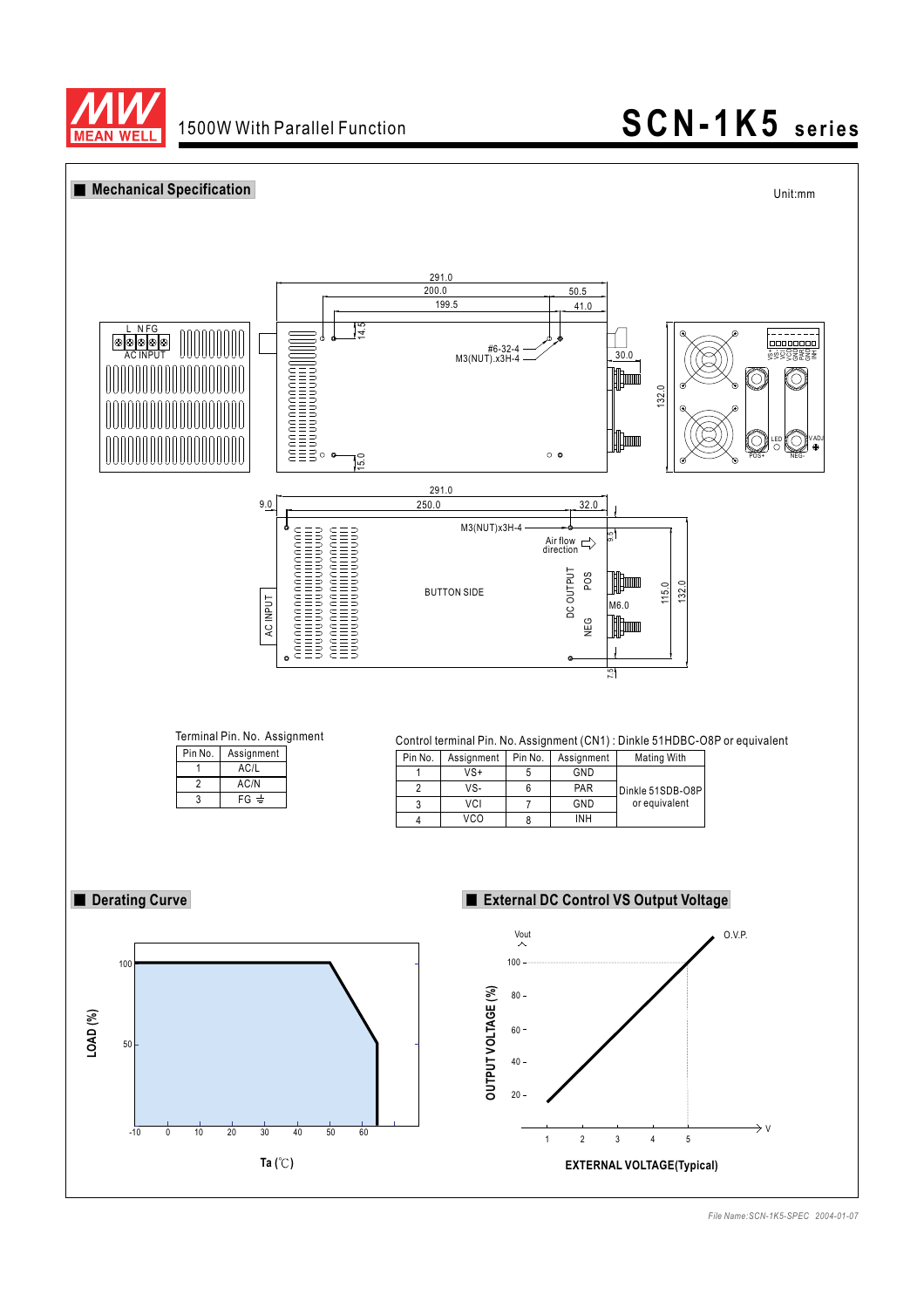

## 1500W With Parallel Function **SCN-1K5** series



*File Name:SCN-1K5-SPEC 2004-01-07*